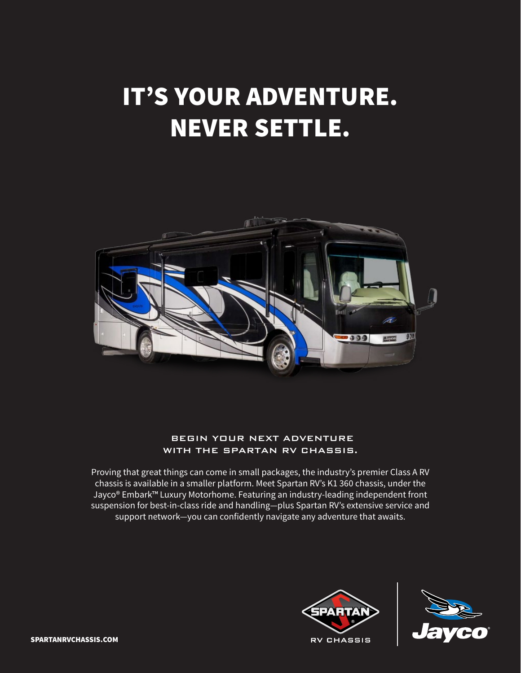# IT'S YOUR ADVENTURE. NEVER SETTLE.



### BEGIN YOUR NEXT ADVENTURE WITH THE SPARTAN RV CHASSIS.

Proving that great things can come in small packages, the industry's premier Class A RV chassis is available in a smaller platform. Meet Spartan RV's K1 360 chassis, under the Jayco® Embark™ Luxury Motorhome. Featuring an industry-leading independent front suspension for best-in-class ride and handling—plus Spartan RV's extensive service and support network—you can confidently navigate any adventure that awaits.